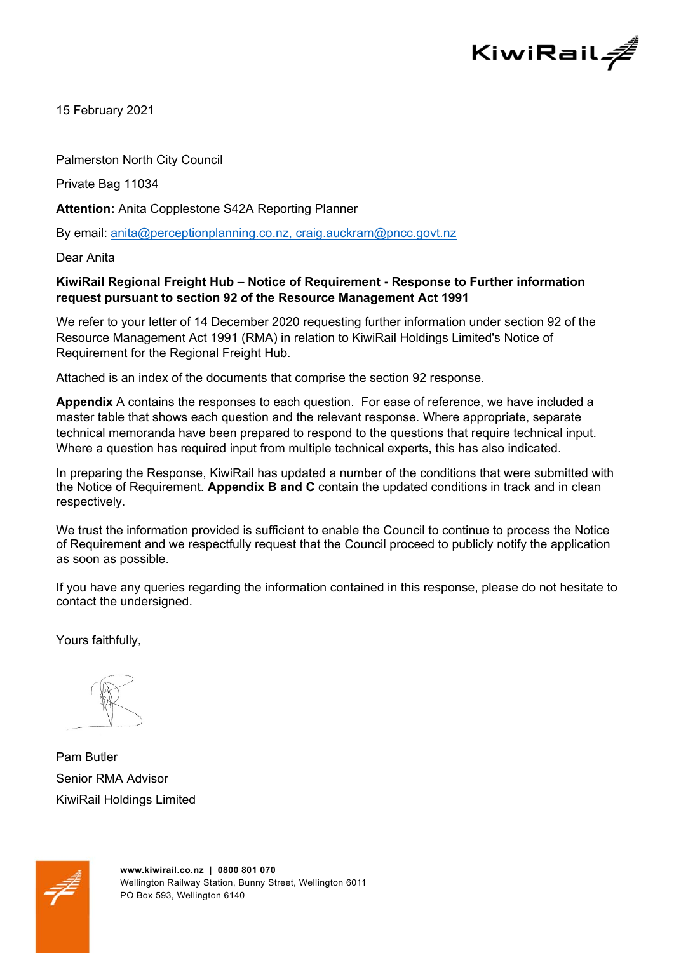

15 February 2021

Palmerston North City Council

Private Bag 11034

**Attention:** Anita Copplestone S42A Reporting Planner

By email: anita@perceptionplanning.co.nz, craig.auckram@pncc.govt.nz

Dear Anita

## **KiwiRail Regional Freight Hub – Notice of Requirement - Response to Further information request pursuant to section 92 of the Resource Management Act 1991**

We refer to your letter of 14 December 2020 requesting further information under section 92 of the Resource Management Act 1991 (RMA) in relation to KiwiRail Holdings Limited's Notice of Requirement for the Regional Freight Hub.

Attached is an index of the documents that comprise the section 92 response.

**Appendix** A contains the responses to each question. For ease of reference, we have included a master table that shows each question and the relevant response. Where appropriate, separate technical memoranda have been prepared to respond to the questions that require technical input. Where a question has required input from multiple technical experts, this has also indicated.

In preparing the Response, KiwiRail has updated a number of the conditions that were submitted with the Notice of Requirement. **Appendix B and C** contain the updated conditions in track and in clean respectively.

We trust the information provided is sufficient to enable the Council to continue to process the Notice of Requirement and we respectfully request that the Council proceed to publicly notify the application as soon as possible.

If you have any queries regarding the information contained in this response, please do not hesitate to contact the undersigned.

Yours faithfully,

Pam Butler Senior RMA Advisor KiwiRail Holdings Limited

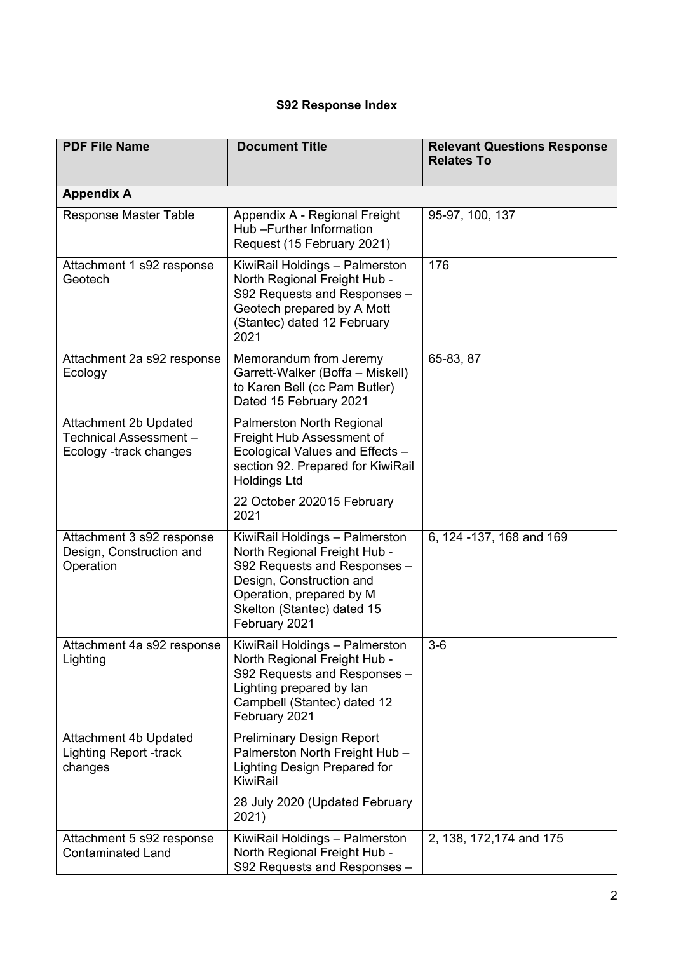## **S92 Response Index**

| <b>PDF File Name</b>                                                     | <b>Document Title</b>                                                                                                                                                                                 | <b>Relevant Questions Response</b><br><b>Relates To</b> |
|--------------------------------------------------------------------------|-------------------------------------------------------------------------------------------------------------------------------------------------------------------------------------------------------|---------------------------------------------------------|
| <b>Appendix A</b>                                                        |                                                                                                                                                                                                       |                                                         |
| <b>Response Master Table</b>                                             | Appendix A - Regional Freight<br>Hub - Further Information<br>Request (15 February 2021)                                                                                                              | 95-97, 100, 137                                         |
| Attachment 1 s92 response<br>Geotech                                     | KiwiRail Holdings - Palmerston<br>North Regional Freight Hub -<br>S92 Requests and Responses -<br>Geotech prepared by A Mott<br>(Stantec) dated 12 February<br>2021                                   | 176                                                     |
| Attachment 2a s92 response<br>Ecology                                    | Memorandum from Jeremy<br>Garrett-Walker (Boffa - Miskell)<br>to Karen Bell (cc Pam Butler)<br>Dated 15 February 2021                                                                                 | 65-83, 87                                               |
| Attachment 2b Updated<br>Technical Assessment-<br>Ecology -track changes | <b>Palmerston North Regional</b><br>Freight Hub Assessment of<br>Ecological Values and Effects -<br>section 92. Prepared for KiwiRail<br><b>Holdings Ltd</b>                                          |                                                         |
|                                                                          | 22 October 202015 February<br>2021                                                                                                                                                                    |                                                         |
| Attachment 3 s92 response<br>Design, Construction and<br>Operation       | KiwiRail Holdings - Palmerston<br>North Regional Freight Hub -<br>S92 Requests and Responses -<br>Design, Construction and<br>Operation, prepared by M<br>Skelton (Stantec) dated 15<br>February 2021 | 6, 124 - 137, 168 and 169                               |
| Attachment 4a s92 response<br>Lighting                                   | KiwiRail Holdings - Palmerston<br>North Regional Freight Hub -<br>S92 Requests and Responses -<br>Lighting prepared by lan<br>Campbell (Stantec) dated 12<br>February 2021                            | $3-6$                                                   |
| Attachment 4b Updated<br><b>Lighting Report -track</b><br>changes        | <b>Preliminary Design Report</b><br>Palmerston North Freight Hub -<br>Lighting Design Prepared for<br>KiwiRail                                                                                        |                                                         |
|                                                                          | 28 July 2020 (Updated February<br>2021)                                                                                                                                                               |                                                         |
| Attachment 5 s92 response<br><b>Contaminated Land</b>                    | KiwiRail Holdings - Palmerston<br>North Regional Freight Hub -<br>S92 Requests and Responses -                                                                                                        | 2, 138, 172, 174 and 175                                |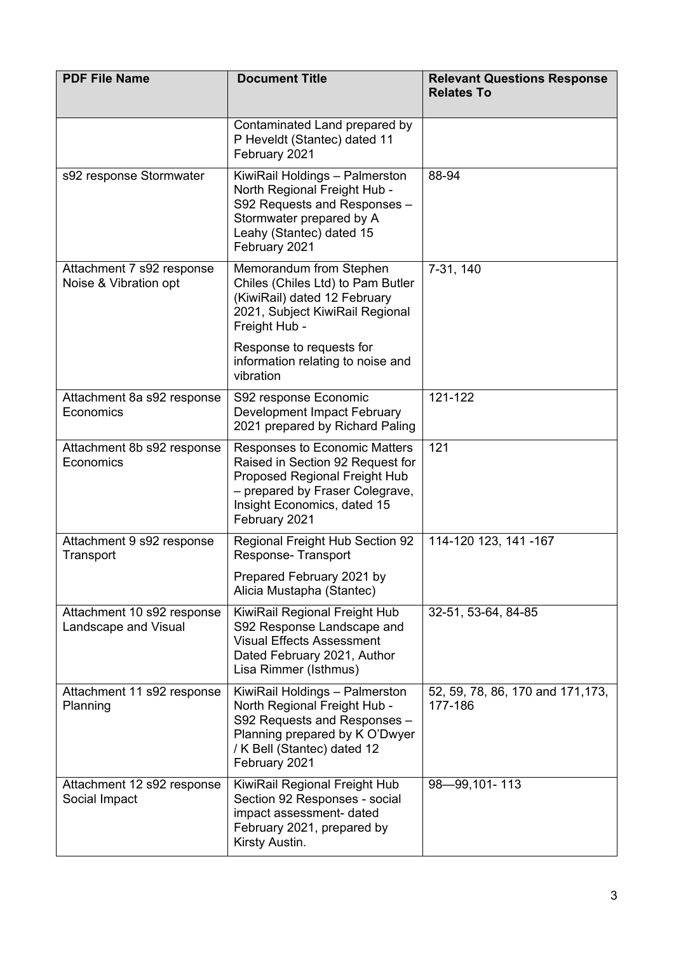| <b>PDF File Name</b>                               | <b>Document Title</b>                                                                                                                                                                 | <b>Relevant Questions Response</b><br><b>Relates To</b> |
|----------------------------------------------------|---------------------------------------------------------------------------------------------------------------------------------------------------------------------------------------|---------------------------------------------------------|
|                                                    | Contaminated Land prepared by<br>P Heveldt (Stantec) dated 11<br>February 2021                                                                                                        |                                                         |
| s92 response Stormwater                            | KiwiRail Holdings - Palmerston<br>North Regional Freight Hub -<br>S92 Requests and Responses -<br>Stormwater prepared by A<br>Leahy (Stantec) dated 15<br>February 2021               | 88-94                                                   |
| Attachment 7 s92 response<br>Noise & Vibration opt | Memorandum from Stephen<br>Chiles (Chiles Ltd) to Pam Butler<br>(KiwiRail) dated 12 February<br>2021, Subject KiwiRail Regional<br>Freight Hub -                                      | 7-31, 140                                               |
|                                                    | Response to requests for<br>information relating to noise and<br>vibration                                                                                                            |                                                         |
| Attachment 8a s92 response<br>Economics            | S92 response Economic<br>Development Impact February<br>2021 prepared by Richard Paling                                                                                               | 121-122                                                 |
| Attachment 8b s92 response<br>Economics            | Responses to Economic Matters<br>Raised in Section 92 Request for<br>Proposed Regional Freight Hub<br>- prepared by Fraser Colegrave,<br>Insight Economics, dated 15<br>February 2021 | 121                                                     |
| Attachment 9 s92 response<br>Transport             | Regional Freight Hub Section 92<br>Response-Transport                                                                                                                                 | 114-120 123, 141 -167                                   |
|                                                    | Prepared February 2021 by<br>Alicia Mustapha (Stantec)                                                                                                                                |                                                         |
| Attachment 10 s92 response<br>Landscape and Visual | KiwiRail Regional Freight Hub<br>S92 Response Landscape and<br><b>Visual Effects Assessment</b><br>Dated February 2021, Author<br>Lisa Rimmer (Isthmus)                               | 32-51, 53-64, 84-85                                     |
| Attachment 11 s92 response<br>Planning             | KiwiRail Holdings - Palmerston<br>North Regional Freight Hub -<br>S92 Requests and Responses -<br>Planning prepared by K O'Dwyer<br>/ K Bell (Stantec) dated 12<br>February 2021      | 52, 59, 78, 86, 170 and 171, 173,<br>177-186            |
| Attachment 12 s92 response<br>Social Impact        | KiwiRail Regional Freight Hub<br>Section 92 Responses - social<br>impact assessment- dated<br>February 2021, prepared by<br>Kirsty Austin.                                            | 98-99,101-113                                           |